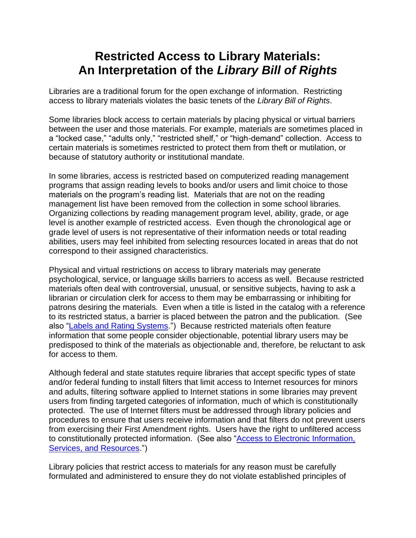## **Restricted Access to Library Materials: An Interpretation of the** *Library Bill of Rights*

Libraries are a traditional forum for the open exchange of information. Restricting access to library materials violates the basic tenets of the *Library Bill of Rights*.

Some libraries block access to certain materials by placing physical or virtual barriers between the user and those materials. For example, materials are sometimes placed in a "locked case," "adults only," "restricted shelf," or "high-demand" collection. Access to certain materials is sometimes restricted to protect them from theft or mutilation, or because of statutory authority or institutional mandate.

In some libraries, access is restricted based on computerized reading management programs that assign reading levels to books and/or users and limit choice to those materials on the program's reading list. Materials that are not on the reading management list have been removed from the collection in some school libraries. Organizing collections by reading management program level, ability, grade, or age level is another example of restricted access. Even though the chronological age or grade level of users is not representative of their information needs or total reading abilities, users may feel inhibited from selecting resources located in areas that do not correspond to their assigned characteristics.

Physical and virtual restrictions on access to library materials may generate psychological, service, or language skills barriers to access as well. Because restricted materials often deal with controversial, unusual, or sensitive subjects, having to ask a librarian or circulation clerk for access to them may be embarrassing or inhibiting for patrons desiring the materials. Even when a title is listed in the catalog with a reference to its restricted status, a barrier is placed between the patron and the publication. (See also ["Labels and Rating Systems.](http://www.ala.org/ala/aboutala/offices/oif/statementspols/statementsif/interpretations/statementlabeling.cfm)") Because restricted materials often feature information that some people consider objectionable, potential library users may be predisposed to think of the materials as objectionable and, therefore, be reluctant to ask for access to them.

Although federal and state statutes require libraries that accept specific types of state and/or federal funding to install filters that limit access to Internet resources for minors and adults, filtering software applied to Internet stations in some libraries may prevent users from finding targeted categories of information, much of which is constitutionally protected. The use of Internet filters must be addressed through library policies and procedures to ensure that users receive information and that filters do not prevent users from exercising their First Amendment rights. Users have the right to unfiltered access to constitutionally protected information. (See also ["Access to Electronic Information,](http://www.ala.org/ala/aboutala/offices/oif/statementspols/statementsif/interpretations/accesselectronic.cfm)  [Services, and Resources.](http://www.ala.org/ala/aboutala/offices/oif/statementspols/statementsif/interpretations/accesselectronic.cfm)")

Library policies that restrict access to materials for any reason must be carefully formulated and administered to ensure they do not violate established principles of